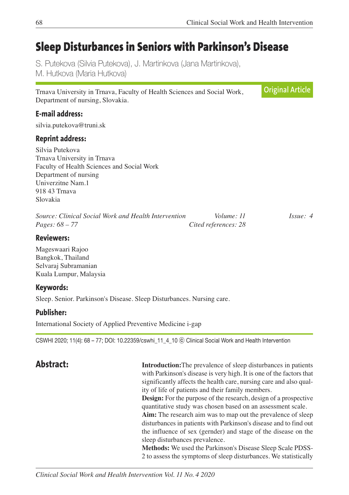# **Sleep Disturbances in Seniors with Parkinson's Disease**

S. Putekova (Silvia Putekova), J. Martinkova (Jana Martinkova), M. Hutkova (Maria Hutkova)

Trnava University in Trnava, Faculty of Health Sciences and Social Work, Department of nursing, Slovakia.

#### **E-mail address:**

silvia.putekova@truni.sk

#### **Reprint address:**

Silvia Putekova Trnava University in Trnava Faculty of Health Sciences and Social Work Department of nursing Univerzitne Nam.1 918 43 Trnava Slovakia

*Source: Clinical Social Work and Health Intervention Volume: 11 Issue: 4 Pages: 68 – 77 Cited references: 28*

**Reviewers:**

Mageswaari Rajoo Bangkok, Thailand Selvaraj Subramanian Kuala Lumpur, Malaysia

#### **Keywords:**

Sleep. Senior. Parkinson's Disease. Sleep Disturbances. Nursing care.

#### **Publisher:**

International Society of Applied Preventive Medicine i-gap

CSWHI 2020; 11(4): 68 – 77; DOI: 10.22359/cswhi\_11\_4\_10 ⓒ Clinical Social Work and Health Intervention

**Abstract: Introduction:** The prevalence of sleep disturbances in patients with Parkinson's disease is very high. It is one of the factors that significantly affects the health care, nursing care and also quality of life of patients and their family members.

> **Design:** For the purpose of the research, design of a prospective quantitative study was chosen based on an assessment scale.

> **Aim:** The research aim was to map out the prevalence of sleep disturbances in patients with Parkinson's disease and to find out the influence of sex (gernder) and stage of the disease on the sleep disturbances prevalence.

> **Methods:** We used the Parkinson's Disease Sleep Scale PDSS-2 to assess the symptoms of sleep disturbances. We statistically

**Original Article**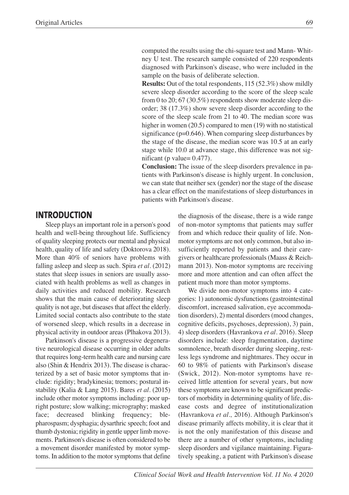computed the results using the chi-square test and Mann- Whitney U test. The research sample consisted of 220 respondents diagnosed with Parkinson's disease, who were included in the sample on the basis of deliberate selection.

 **Results:** Out of the total respondents, 115 (52.3%) show mildly severe sleep disorder according to the score of the sleep scale from 0 to 20; 67 (30.5%) respondents show moderate sleep disorder; 38 (17.3%) show severe sleep disorder according to the score of the sleep scale from 21 to 40. The median score was higher in women (20.5) compared to men (19) with no statistical significance (p=0.646). When comparing sleep disturbances by the stage of the disease, the median score was 10.5 at an early stage while 10.0 at advance stage, this difference was not significant (p value=  $0.477$ ).

 **Conclusion:** The issue of the sleep disorders prevalence in patients with Parkinson's disease is highly urgent. In conclusion, we can state that neither sex (gender) nor the stage of the disease has a clear effect on the manifestations of sleep disturbances in patients with Parkinson's disease.

#### **INTRODUCTION**

Sleep plays an important role in a person's good health and well-being throughout life. Sufficiency of quality sleeping protects our mental and physical health, quality of life and safety (Doktorova 2018). More than 40% of seniors have problems with falling asleep and sleep as such. Spira *et al.* (2012) states that sleep issues in seniors are usually associated with health problems as well as changes in daily activities and reduced mobility. Research shows that the main cause of deteriorating sleep quality is not age, but diseases that affect the elderly. Limited social contacts also contribute to the state of worsened sleep, which results in a decrease in physical activity in outdoor areas (Plhakova 2013).

Parkinson's disease is a progressive degenerative neurological disease occurring in older adults that requires long-term health care and nursing care also (Shin & Hendrix 2013). The disease is characterized by a set of basic motor symptoms that include: rigidity; bradykinesia; tremors; postural instability (Kalia & Lang 2015). Bares *et al.* (2015) include other motor symptoms including: poor upright posture; slow walking; micrography; masked face; decreased blinking frequency; blepharospasm; dysphagia; dysarthric speech; foot and thumb dystonia; rigidity in gentle upper limb movements. Parkinson's disease is often considered to be a movement disorder manifested by motor symptoms. In addition to the motor symptoms that define the diagnosis of the disease, there is a wide range of non-motor symptoms that patients may suffer from and which reduce their quality of life. Nonmotor symptoms are not only common, but also insufficiently reported by patients and their caregivers or healthcare professionals (Maass & Reichmann 2013). Non-motor symptoms are receiving more and more attention and can often affect the patient much more than motor symptoms.

We divide non-motor symptoms into 4 categories: 1) autonomic dysfunctions (gastrointestinal discomfort, increased salivation, eye accommodation disorders), 2) mental disorders (mood changes, cognitive deficits, psychoses, depression), 3) pain, 4) sleep disorders (Havrankova *et al*. 2016). Sleep disorders include: sleep fragmentation, daytime somnolence, breath disorder during sleeping, restless legs syndrome and nightmares. They occur in 60 to 98% of patients with Parkinson's disease (Swick, 2012). Non-motor symptoms have received little attention for several years, but now these symptoms are known to be significant predictors of morbidity in determining quality of life, disease costs and degree of institutionalization (Havrankova *et al.,* 2016). Although Parkinson's disease primarily affects mobility, it is clear that it is not the only manifestation of this disease and there are a number of other symptoms, including sleep disorders and vigilance maintaining. Figuratively speaking, a patient with Parkinson's disease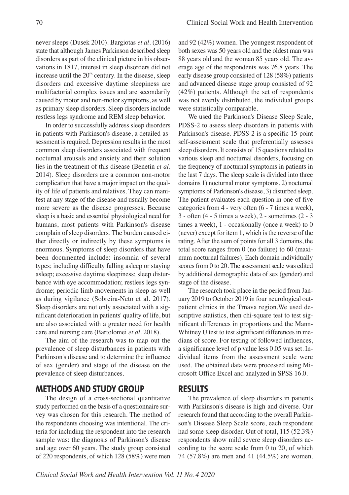never sleeps (Dusek 2010). Bargiotas *et al.* (2016) state that although James Parkinson described sleep disorders as part of the clinical picture in his observations in 1817, interest in sleep disorders did not increase until the  $20<sup>th</sup>$  century. In the disease, sleep disorders and excessive daytime sleepiness are multifactorial complex issues and are secondarily caused by motor and non-motor symptoms, as well as primary sleep disorders. Sleep disorders include restless legs syndrome and REM sleep behavior.

In order to successfully address sleep disorders in patients with Parkinson's disease, a detailed assessment is required. Depression results in the most common sleep disorders associated with frequent nocturnal arousals and anxiety and their solution lies in the treatment of this disease (Benetin *et al.* 2014). Sleep disorders are a common non-motor complication that have a major impact on the quality of life of patients and relatives. They can manifest at any stage of the disease and usually become more severe as the disease progresses. Because sleep is a basic and essential physiological need for humans, most patients with Parkinson's disease complain of sleep disorders. The burden caused either directly or indirectly by these symptoms is enormous. Symptoms of sleep disorders that have been documented include: insomnia of several types; including difficulty falling asleep or staying asleep; excessive daytime sleepiness; sleep disturbance with eye accommodation; restless legs syndrome; periodic limb movements in sleep as well as during vigilance (Sobreira-Neto et al. 2017). Sleep disorders are not only associated with a significant deterioration in patients' quality of life, but are also associated with a greater need for health care and nursing care (Bartolomei *et al*. 2018).

The aim of the research was to map out the prevalence of sleep disturbances in patients with Parkinson's disease and to determine the influence of sex (gender) and stage of the disease on the prevalence of sleep disturbances.

## **METHODS AND STUDY GROUP**

The design of a cross-sectional quantitative study performed on the basis of a questionnaire survey was chosen for this research. The method of the respondents choosing was intentional. The criteria for including the respondent into the research sample was: the diagnosis of Parkinson's disease and age over 60 years. The study group consisted of 220 respondents, of which 128 (58%) were men

and 92 (42%) women. The youngest respondent of both sexes was 50 years old and the oldest man was 88 years old and the woman 85 years old. The average age of the respondents was 76.8 years. The early disease group consisted of 128 (58%) patients and advanced disease stage group consisted of 92 (42%) patients. Although the set of respondents was not evenly distributed, the individual groups were statistically comparable.

We used the Parkinson's Disease Sleep Scale, PDSS-2 to assess sleep disorders in patients with Parkinson's disease. PDSS-2 is a specific 15-point self-assessment scale that preferentially assesses sleep disorders. It consists of 15 questions related to various sleep and nocturnal disorders, focusing on the frequency of nocturnal symptoms in patients in the last 7 days. The sleep scale is divided into three domains 1) nocturnal motor symptoms, 2) nocturnal symptoms of Parkinson's disease, 3) disturbed sleep. The patient evaluates each question in one of five categories from 4 - very often (6 - 7 times a week), 3 - often (4 - 5 times a week), 2 - sometimes (2 - 3 times a week), 1 - occasionally (once a week) to 0 (never) except for item 1, which is the reverse of the rating. After the sum of points for all 3 domains, the total score ranges from 0 (no failure) to 60 (maximum nocturnal failures). Each domain individually scores from 0 to 20. The assessment scale was edited by additional demographic data of sex (gender) and stage of the disease.

The research took place in the period from January 2019 to October 2019 in four neurological outpatient clinics in the Trnava region.We used descriptive statistics, then chi-square test to test significant differences in proportions and the Mann-Whitney U test to test significant differences in medians of score. For testing of followed influences, a significance level of p value less 0.05 was set. Individual items from the assessment scale were used. The obtained data were processed using Microsoft Office Excel and analyzed in SPSS 16.0.

## **RESULTS**

The prevalence of sleep disorders in patients with Parkinson's disease is high and diverse. Our research found that according to the overall Parkinson's Disease Sleep Scale score, each respondent had some sleep disorder. Out of total, 115 (52.3%) respondents show mild severe sleep disorders according to the score scale from 0 to 20, of which 74 (57.8%) are men and 41 (44.5%) are women.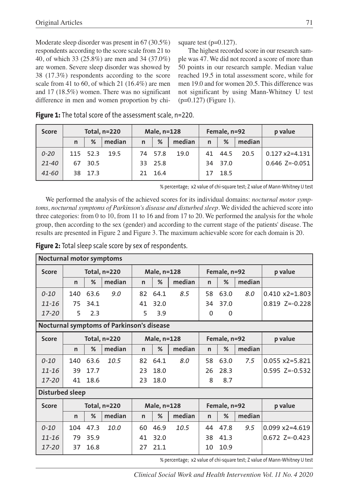Moderate sleep disorder was present in 67 (30.5%) respondents according to the score scale from 21 to 40, of which 33 (25.8%) are men and 34 (37.0%) are women. Severe sleep disorder was showed by 38 (17.3%) respondents according to the score scale from 41 to 60, of which 21 (16.4%) are men and 17 (18.5%) women. There was no significant difference in men and women proportion by chisquare test  $(p=0.127)$ .

The highest recorded score in our research sample was 47. We did not record a score of more than 50 points in our research sample. Median value reached 19.5 in total assessment score, while for men 19.0 and for women 20.5. This difference was not significant by using Mann-Whitney U test (p=0.127) (Figure 1).

| <b>Score</b> | Total, $n=220$ |          |        | Male, n=128  |         |        | Female, n=92 |         |        | p value          |
|--------------|----------------|----------|--------|--------------|---------|--------|--------------|---------|--------|------------------|
|              | n              | %        | median | $\mathsf{n}$ | %       | median | $\mathsf{n}$ | %       | median |                  |
| $0 - 20$     |                | 115 52.3 | 19.5   |              | 74 57.8 | 19.0   |              | 41 44.5 | 20.5   | $0.127$ x2=4.131 |
| $21 - 40$    | 67             | 30.5     |        |              | 33 25.8 |        |              | 34 37.0 |        | $0.646$ Z=-0.051 |
| $41 - 60$    |                | 38 17.3  |        | 21.          | 16.4    |        | 17           | 18.5    |        |                  |

**Figure 1:** The total score of the assessment scale, n=220.

% percentage; x2 value of chi-square test; Z value of Mann-Whitney U test

We performed the analysis of the achieved scores for its individual domains: *nocturnal motor symptoms, nocturnal symptoms of Parkinson's disease and disturbed sleep.* We divided the achieved score into three categories: from 0 to 10, from 11 to 16 and from 17 to 20. We performed the analysis for the whole group, then according to the sex (gender) and according to the current stage of the patients' disease. The results are presented in Figure 2 and Figure 3. The maximum achievable score for each domain is 20.

**Figure 2:** Total sleep scale score by sex of respondents.

| <b>Nocturnal motor symptoms</b>           |                     |      |        |              |      |        |              |              |        |                          |  |
|-------------------------------------------|---------------------|------|--------|--------------|------|--------|--------------|--------------|--------|--------------------------|--|
| <b>Score</b>                              | <b>Total, n=220</b> |      |        | Male, n=128  |      |        |              | Female, n=92 |        | p value                  |  |
|                                           | n                   | %    | median | $\mathsf{n}$ | %    | median | $\mathsf{n}$ | %            | median |                          |  |
| $0 - 10$                                  | 140                 | 63.6 | 9.0    | 82           | 64.1 | 8.5    | 58           | 63.0         | 8.0    | $0.410 x2 = 1.803$       |  |
| $11 - 16$                                 | 75                  | 34.1 |        | 41           | 32.0 |        | 34           | 37.0         |        | $0.819$ Z=-0.228         |  |
| 17-20                                     | 5                   | 2.3  |        | 5            | 3.9  |        | 0            | $\mathbf 0$  |        |                          |  |
| Nocturnal symptoms of Parkinson's disease |                     |      |        |              |      |        |              |              |        |                          |  |
| <b>Score</b>                              | <b>Total, n=220</b> |      |        | Male, n=128  |      |        | Female, n=92 |              |        | p value                  |  |
|                                           | n                   | %    | median | $\mathsf{n}$ | %    | median | $\mathsf{n}$ | %            | median |                          |  |
| $0 - 10$                                  | 140                 | 63.6 | 10.5   | 82           | 64.1 | 8.0    | 58           | 63.0         | 7.5    | $0.055 \times 2 = 5.821$ |  |
| $11 - 16$                                 | 39                  | 17.7 |        | 23           | 18.0 |        | 26           | 28.3         |        | $0.595$ Z=-0.532         |  |
| $17 - 20$                                 | 41                  | 18.6 |        | 23           | 18.0 |        | 8            | 8.7          |        |                          |  |
| <b>Disturbed sleep</b>                    |                     |      |        |              |      |        |              |              |        |                          |  |
| <b>Score</b>                              | <b>Total, n=220</b> |      |        | Male, n=128  |      |        |              | Female, n=92 |        | p value                  |  |
|                                           | $\mathsf{n}$        | %    | median | $\mathsf{n}$ | %    | median | $\mathsf{n}$ | %            | median |                          |  |
| $0 - 10$                                  | 104                 | 47.3 | 10.0   | 60           | 46.9 | 10.5   | 44           | 47.8         | 9.5    | $0.099 \times 2 = 4.619$ |  |
| $11 - 16$                                 | 79                  | 35.9 |        | 41           | 32.0 |        | 38           | 41.3         |        | $0.672$ Z=-0.423         |  |
| $17 - 20$                                 | 37                  | 16.8 |        | 27           | 21.1 |        | 10           | 10.9         |        |                          |  |

% percentage; x2 value of chi-square test; Z value of Mann-Whitney U test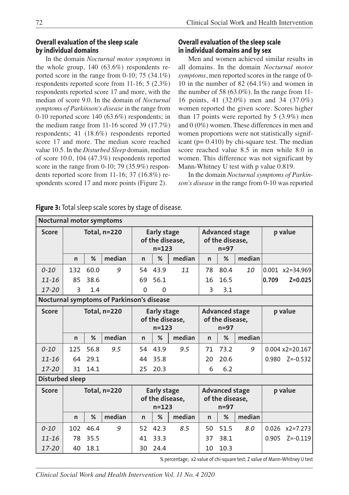#### **Overall evaluation of the sleep scale by individual domains**

In the domain *Nocturnal motor symptoms* in the whole group, 140 (63.6%) respondents reported score in the range from 0-10; 75 (34.1%) respondents reported score from 11-16; 5 (2.3%) respondents reported score 17 and more, with the median of score 9.0. In the domain of *Nocturnal symptoms of Parkinson's disease* in the range from 0-10 reported score 140 (63.6%) respondents; in the medium range from 11-16 scored 39 (17.7%) respondents; 41 (18.6%) respondents reported score 17 and more. The median score reached value 10.5. In the *Disturbed Sleep* domain, median of score 10.0, 104 (47.3%) respondents reported score in the range from 0-10; 79 (35.9%) respondents reported score from 11-16; 37 (16.8%) respondents scored 17 and more points (Figure 2).

#### **Overall evaluation of the sleep scale in individual domains and by sex**

Men and women achieved similar results in all domains. In the domain *Nocturnal motor symptoms*, men reported scores in the range of 0- 10 in the number of 82 (64.1%) and women in the number of 58 (63.0%). In the range from 11- 16 points, 41 (32.0%) men and 34 (37.0%) women reported the given score. Scores higher than 17 points were reported by 5 (3.9%) men and 0 (0%) women. These differences in men and women proportions were not statistically significant (p= 0.410) by chi-square test. The median score reached value 8.5 in men while 8.0 in women. This difference was not significant by Mann-Whitney U test with p value 0.819.

In the domain *Nocturnal symptoms of Parkinson's disease* in the range from 0-10 was reported

| <b>Nocturnal motor symptoms</b>           |                                                                           |      |        |                                                    |          |        |                                                    |                                                    |        |         |                          |
|-------------------------------------------|---------------------------------------------------------------------------|------|--------|----------------------------------------------------|----------|--------|----------------------------------------------------|----------------------------------------------------|--------|---------|--------------------------|
| <b>Score</b>                              | Total, n=220                                                              |      |        | <b>Early stage</b><br>of the disease,<br>$n = 123$ |          |        | <b>Advanced stage</b><br>of the disease,<br>$n=97$ |                                                    |        | p value |                          |
|                                           | n                                                                         | %    | median | n                                                  | %        | median | n                                                  | %                                                  | median |         |                          |
| $0 - 10$                                  | 132                                                                       | 60.0 | 9      | 54                                                 | 43.9     | 11     | 78                                                 | 80.4                                               | 10     |         | $0.001$ x2=34.969        |
| $11 - 16$                                 | 85                                                                        | 38.6 |        | 69                                                 | 56.1     |        | 16                                                 | 16.5                                               |        | 0.709   | $Z = 0.025$              |
| $17 - 20$                                 | 3                                                                         | 1.4  |        | $\Omega$                                           | $\Omega$ |        | 3                                                  | 3.1                                                |        |         |                          |
| Nocturnal symptoms of Parkinson's disease |                                                                           |      |        |                                                    |          |        |                                                    |                                                    |        |         |                          |
| <b>Score</b>                              | Total, n=220                                                              |      |        | <b>Early stage</b><br>of the disease,<br>$n = 123$ |          |        |                                                    | <b>Advanced stage</b><br>of the disease,<br>$n=97$ |        | p value |                          |
|                                           | n                                                                         | %    | median | n                                                  | %        | median | $\mathsf{n}$                                       | %                                                  | median |         |                          |
| $0 - 10$                                  | 125                                                                       | 56.8 | 9.5    | 54                                                 | 43.9     | 9.5    | 71                                                 | 73.2                                               | 9      |         | $0.004$ x2=20.167        |
| $11 - 16$                                 | 64                                                                        | 29.1 |        | 44                                                 | 35.8     |        | 20                                                 | 20.6                                               |        | 0.980   | $Z = -0.532$             |
| $17 - 20$                                 | 31                                                                        | 14.1 |        | 25                                                 | 20.3     |        | 6                                                  | 6.2                                                |        |         |                          |
| <b>Disturbed sleep</b>                    |                                                                           |      |        |                                                    |          |        |                                                    |                                                    |        |         |                          |
| <b>Score</b>                              | Total, n=220                                                              |      |        | <b>Early stage</b><br>of the disease,<br>$n = 123$ |          |        |                                                    | <b>Advanced stage</b><br>of the disease,<br>$n=97$ |        | p value |                          |
|                                           | n                                                                         | %    | median | n                                                  | %        | median | n                                                  | %                                                  | median |         |                          |
| $0 - 10$                                  | 102                                                                       | 46.4 | 9      | 52                                                 | 42.3     | 8.5    | 50                                                 | 51.5                                               | 8.0    |         | $0.026 \times 2 = 7.273$ |
| $11 - 16$                                 | 78                                                                        | 35.5 |        | 41                                                 | 33.3     |        | 37                                                 | 38.1                                               |        | 0.905   | $Z = -0.119$             |
| $17 - 20$                                 | 40                                                                        | 18.1 |        | 30                                                 | 24.4     |        | 10                                                 | 10.3                                               |        |         |                          |
|                                           | % percentage; x2 value of chi-square test; Z value of Mann-Whitney U test |      |        |                                                    |          |        |                                                    |                                                    |        |         |                          |

**Figure 3:** Total sleep scale scores by stage of disease.

*Clinical Social Work and Health Intervention Vol. 11 No. 4 2020*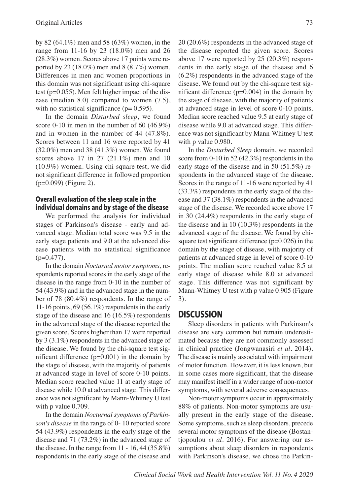by 82 (64.1%) men and 58 (63%) women, in the range from 11-16 by 23 (18.0%) men and 26 (28.3%) women. Scores above 17 points were reported by 23 (18.0%) men and 8 (8.7%) women. Differences in men and women proportions in this domain was not significant using chi-square test (p=0.055). Men felt higher impact of the disease (median 8.0) compared to women (7.5), with no statistical significance  $(p= 0.595)$ .

In the domain *Disturbed sleep*, we found score 0-10 in men in the number of 60 (46.9%) and in women in the number of 44 (47.8%). Scores between 11 and 16 were reported by 41 (32.0%) men and 38 (41.3%) women. We found scores above 17 in 27 (21.1%) men and 10 (10.9%) women. Using chi-square test, we did not significant difference in followed proportion (p=0.099) (Figure 2).

#### **Overall evaluation of the sleep scale in the individual domains and by stage of the disease**

We performed the analysis for individual stages of Parkinson's disease - early and advanced stage. Median total score was 9.5 in the early stage patients and 9.0 at the advanced disease patients with no statistical significance  $(p=0.477)$ .

In the domain *Nocturnal motor symptoms*, respondents reported scores in the early stage of the disease in the range from 0-10 in the number of 54 (43.9%) and in the advanced stage in the number of 78 (80.4%) respondents. In the range of 11-16 points, 69 (56.1%) respondents in the early stage of the disease and 16 (16.5%) respondents in the advanced stage of the disease reported the given score. Scores higher than 17 were reported by 3 (3.1%) respondents in the advanced stage of the disease. We found by the chi-square test significant difference  $(p=0.001)$  in the domain by the stage of disease, with the majority of patients at advanced stage in level of score 0-10 points. Median score reached value 11 at early stage of disease while 10.0 at advanced stage. This difference was not significant by Mann-Whitney U test with p value 0.709.

In the domain *Nocturnal symptoms of Parkinson's disease* in the range of 0- 10 reported score 54 (43.9%) respondents in the early stage of the disease and 71 (73.2%) in the advanced stage of the disease. In the range from 11 - 16, 44 (35.8%) respondents in the early stage of the disease and 20 (20.6%) respondents in the advanced stage of the disease reported the given score. Scores above 17 were reported by 25 (20.3%) respondents in the early stage of the disease and 6 (6.2%) respondents in the advanced stage of the disease. We found out by the chi-square test significant difference (p=0.004) in the domain by the stage of disease, with the majority of patients at advanced stage in level of score 0-10 points. Median score reached value 9.5 at early stage of disease while 9.0 at advanced stage. This difference was not significant by Mann-Whitney U test with p value 0.980.

In the *Disturbed Sleep* domain, we recorded score from 0-10 in 52 (42.3%) respondents in the early stage of the disease and in 50 (51.5%) respondents in the advanced stage of the disease. Scores in the range of 11-16 were reported by 41 (33.3%) respondents in the early stage of the disease and 37 (38.1%) respondents in the advanced stage of the disease. We recorded score above 17 in 30 (24.4%) respondents in the early stage of the disease and in 10 (10.3%) respondents in the advanced stage of the disease. We found by chisquare test significant difference (p=0.026) in the domain by the stage of disease, with majority of patients at advanced stage in level of score 0-10 points. The median score reached value 8.5 at early stage of disease while 8.0 at advanced stage. This difference was not significant by Mann-Whitney U test with p value 0.905 (Figure 3).

#### **DISCUSSION**

Sleep disorders in patients with Parkinson's disease are very common but remain underestimated because they are not commonly assessed in clinical practice (Jongwanasiri *et al.* 2014). The disease is mainly associated with impairment of motor function. However, it is less known, but in some cases more significant, that the disease may manifest itself in a wider range of non-motor symptoms, with several adverse consequences.

Non-motor symptoms occur in approximately 88% of patients. Non-motor symptoms are usually present in the early stage of the disease. Some symptoms, such as sleep disorders, precede several motor symptoms of the disease (Bostantjopoulou *et al.* 2016). For answering our assumptions about sleep disorders in respondents with Parkinson's disease, we chose the Parkin-

*Clinical Social Work and Health Intervention Vol. 11 No. 4 2020*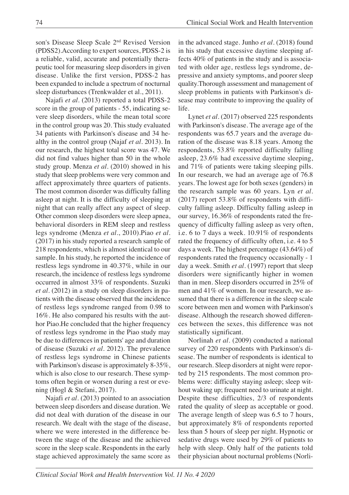son's Disease Sleep Scale 2nd Revised Version (PDSS2).According to expert sources, PDSS-2 is a reliable, valid, accurate and potentially therapeutic tool for measuring sleep disorders in given disease. Unlike the first version, PDSS-2 has been expanded to include a spectrum of nocturnal sleep disturbances (Trenkwalder et al., 2011).

Najafi *et al.* (2013) reported a total PDSS-2 score in the group of patients - 55, indicating severe sleep disorders, while the mean total score in the control group was 20. This study evaluated 34 patients with Parkinson's disease and 34 healthy in the control group (Najaf *et al*. 2013). In our research, the highest total score was 47. We did not find values higher than 50 in the whole study group. Menza *et al.* (2010) showed in his study that sleep problems were very common and affect approximately three quarters of patients. The most common disorder was difficulty falling asleep at night. It is the difficulty of sleeping at night that can really affect any aspect of sleep. Other common sleep disorders were sleep apnea, behavioral disorders in REM sleep and restless legs syndrome (Menza *et al.*, 2010).Piao *et al.* (2017) in his study reported a research sample of 218 respondents, which is almost identical to our sample. In his study, he reported the incidence of restless legs syndrome in 40.37%, while in our research, the incidence of restless legs syndrome occurred in almost 33% of respondents. Suzuki *et al.* (2012) in a study on sleep disorders in patients with the disease observed that the incidence of restless legs syndrome ranged from 0.98 to 16%. He also compared his results with the author Piao.He concluded that the higher frequency of restless legs syndrome in the Piao study may be due to differences in patients' age and duration of disease (Suzuki *et al.* 2012). The prevalence of restless legs syndrome in Chinese patients with Parkinson's disease is approximately 8-35%, which is also close to our research. These symptoms often begin or worsen during a rest or evening (Hogl & Stefani, 2017).

Najafi *et al.* (2013) pointed to an association between sleep disorders and disease duration. We did not deal with duration of the disease in our research. We dealt with the stage of the disease, where we were interested in the difference between the stage of the disease and the achieved score in the sleep scale. Respondents in the early stage achieved approximately the same score as

in the advanced stage. Junho *et al*. (2018) found in his study that excessive daytime sleeping affects 40% of patients in the study and is associated with older age, restless legs syndrome, depressive and anxiety symptoms, and poorer sleep quality.Thorough assessment and management of sleep problems in patients with Parkinson's disease may contribute to improving the quality of life.

Lynet *et al*. (2017) observed 225 respondents with Parkinson's disease. The average age of the respondents was 65.7 years and the average duration of the disease was 8.18 years. Among the respondents, 53.8% reported difficulty falling asleep, 23.6% had excessive daytime sleeping, and 71% of patients were taking sleeping pills. In our research, we had an average age of 76.8 years. The lowest age for both sexes (genders) in the research sample was 60 years. Lyn *et al.* (2017) report 53.8% of respondents with difficulty falling asleep. Difficulty falling asleep in our survey, 16.36% of respondents rated the frequency of difficulty falling asleep as very often, i.e. 6 to 7 days a week. 10.91% of respondents rated the frequency of difficulty often, i.e. 4 to 5 days a week. The highest percentage (43.64%) of respondents rated the frequency occasionally - 1 day a week. Smith *et al.* (1997) report that sleep disorders were significantly higher in women than in men. Sleep disorders occurred in 25% of men and 41% of women. In our research, we assumed that there is a difference in the sleep scale score between men and women with Parkinson's disease. Although the research showed differences between the sexes, this difference was not statistically significant.

Norlinah *et al.* (2009) conducted a national survey of 220 respondents with Parkinson's disease. The number of respondents is identical to our research. Sleep disorders at night were reported by 215 respondents. The most common problems were: difficulty staying asleep; sleep without waking up; frequent need to urinate at night. Despite these difficulties, 2/3 of respondents rated the quality of sleep as acceptable or good. The average length of sleep was 6.5 to 7 hours, but approximately 8% of respondents reported less than 5 hours of sleep per night. Hypnotic or sedative drugs were used by 29% of patients to help with sleep. Only half of the patients told their physician about nocturnal problems (Norli-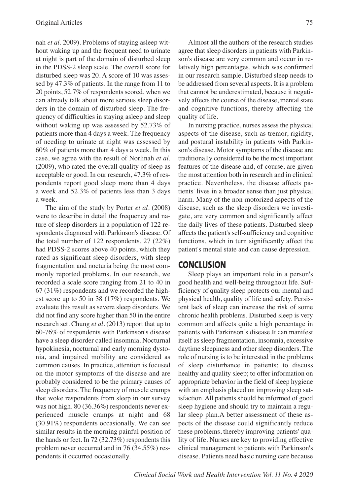nah *et al.* 2009). Problems of staying asleep without waking up and the frequent need to urinate at night is part of the domain of disturbed sleep in the PDSS-2 sleep scale. The overall score for disturbed sleep was 20. A score of 10 was assessed by 47.3% of patients. In the range from 11 to 20 points, 52.7% of respondents scored, when we can already talk about more serious sleep disorders in the domain of disturbed sleep. The frequency of difficulties in staying asleep and sleep without waking up was assessed by 52.73% of patients more than 4 days a week. The frequency of needing to urinate at night was assessed by 60% of patients more than 4 days a week. In this case, we agree with the result of Norlinah *et al.* (2009), who rated the overall quality of sleep as acceptable or good. In our research, 47.3% of respondents report good sleep more than 4 days a week and 52.3% of patients less than 3 days a week.

The aim of the study by Porter *et al.* (2008) were to describe in detail the frequency and nature of sleep disorders in a population of 122 respondents diagnosed with Parkinson's disease. Of the total number of 122 respondents, 27 (22%) had PDSS-2 scores above 40 points, which they rated as significant sleep disorders, with sleep fragmentation and nocturia being the most commonly reported problems. In our research, we recorded a scale score ranging from 21 to 40 in 67 (31%) respondents and we recorded the highest score up to 50 in 38 (17%) respondents. We evaluate this result as severe sleep disorders. We did not find any score higher than 50 in the entire research set. Chung *et al.* (2013) report that up to 60-76% of respondents with Parkinson's disease have a sleep disorder called insomnia. Nocturnal hypokinesia, nocturnal and early morning dystonia, and impaired mobility are considered as common causes. In practice, attention is focused on the motor symptoms of the disease and are probably considered to be the primary causes of sleep disorders. The frequency of muscle cramps that woke respondents from sleep in our survey was not high. 80 (36.36%) respondents never experienced muscle cramps at night and 68 (30.91%) respondents occasionally. We can see similar results in the morning painful position of the hands or feet. In 72 (32.73%) respondents this problem never occurred and in 76 (34.55%) respondents it occurred occasionally.

Almost all the authors of the research studies agree that sleep disorders in patients with Parkinson's disease are very common and occur in relatively high percentages, which was confirmed in our research sample. Disturbed sleep needs to be addressed from several aspects. It is a problem that cannot be underestimated, because it negatively affects the course of the disease, mental state and cognitive functions, thereby affecting the quality of life.

In nursing practice, nurses assess the physical aspects of the disease, such as tremor, rigidity, and postural instability in patients with Parkinson's disease. Motor symptoms of the disease are traditionally considered to be the most important features of the disease and, of course, are given the most attention both in research and in clinical practice. Nevertheless, the disease affects patients' lives in a broader sense than just physical harm. Many of the non-motorized aspects of the disease, such as the sleep disorders we investigate, are very common and significantly affect the daily lives of these patients. Disturbed sleep affects the patient's self-sufficiency and cognitive functions, which in turn significantly affect the patient's mental state and can cause depression.

#### **CONCLUSION**

Sleep plays an important role in a person's good health and well-being throughout life. Sufficiency of quality sleep protects our mental and physical health, quality of life and safety. Persistent lack of sleep can increase the risk of some chronic health problems. Disturbed sleep is very common and affects quite a high percentage in patients with Parkinson's disease.It can manifest itself as sleep fragmentation, insomnia, excessive daytime sleepiness and other sleep disorders. The role of nursing is to be interested in the problems of sleep disturbance in patients; to discuss healthy and quality sleep; to offer information on appropriate behavior in the field of sleep hygiene with an emphasis placed on improving sleep satisfaction. All patients should be informed of good sleep hygiene and should try to maintain a regular sleep plan.A better assessment of these aspects of the disease could significantly reduce these problems, thereby improving patients' quality of life. Nurses are key to providing effective clinical management to patients with Parkinson's disease. Patients need basic nursing care because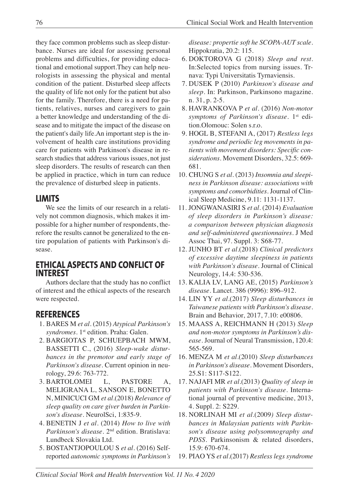they face common problems such as sleep disturbance. Nurses are ideal for assessing personal problems and difficulties, for providing educational and emotional support.They can help neurologists in assessing the physical and mental condition of the patient. Disturbed sleep affects the quality of life not only for the patient but also for the family. Therefore, there is a need for patients, relatives, nurses and caregivers to gain a better knowledge and understanding of the disease and to mitigate the impact of the disease on the patient's daily life.An important step is the involvement of health care institutions providing care for patients with Parkinson's disease in research studies that address various issues, not just sleep disorders. The results of research can then be applied in practice, which in turn can reduce the prevalence of disturbed sleep in patients.

## **LIMITS**

We see the limits of our research in a relatively not common diagnosis, which makes it impossible for a higher number of respondents, therefore the results cannot be generalized to the entire population of patients with Parkinson's disease.

### **ETHICAL ASPECTS AND CONFLICT OF INTEREST**

Authors declare that the study has no conflict of interest and the ethical aspects of the research were respected.

## **REFERENCES**

- 1. BARES M *et al.* (2015) *Atypical Parkinson's syndromes*. 1st edition. Praha: Galen.
- 2. BARGIOTAS P, SCHUEPBACH MWM, BASSETTI C., (2016) *Sleep-wake disturbances in the premotor and early stage of Parkinson's disease.* Current opinion in neurology, 29.6: 763-772.
- 3. BARTOLOMEI L, PASTORE A, MELIGRANA L, SANSON E, BONETTO N, MINICUCI GM *et al.*(2018) *Relevance of sleep quality on care giver burden in Parkinson's disease*. NeurolSci, 1:835-9.
- 4. BENETIN J *et al.* (2014) *How to live with Parkinson's disease*. 2nd edition. Bratislava: Lundbeck Slovakia Ltd.
- 5. BOSTANTJOPOULOU S *et al.* (2016) Selfreported *autonomic symptoms in Parkinson's*

*disease: propertie soft he SCOPA-AUT scale*. Hippokratia, 20.2: 115.

- 6. DOKTOROVA G (2018) *Sleep and rest*. In:Selected topics from nursing issues. Trnava: Typi Universitatis Tyrnaviensis.
- 7. DUSEK P (2010) *Parkinson's disease and sleep*. In: Parkinson, Parkinsono magazine. n. 31, p. 2-5.
- 8. HAVRANKOVA P *et al.* (2016) *Non-motor symptoms of Parkinson's disease.* 1st edition.Olomouc: Solen s.r.o.
- 9. HOGL B, STEFANI A, (2017) *Restless legs syndrome and periodic leg movements in patients with movement disorders: Specific considerations*. Movement Disorders, 32.5: 669- 681.
- 10. CHUNG S *et al.* (2013) *Insomnia and sleepiness in Parkinson disease: associations with symptoms and comorbidities*. Journal of Clinical Sleep Medicine, 9.11: 1131-1137.
- 11. JONGWANASIRI S *et al.* (2014) *Evaluation of sleep disorders in Parkinson's disease: a comparison between physician diagnosis and self-administered questionnaires*. J Med Assoc Thai, 97. Suppl. 3: S68-77.
- 12. JUNHO BT *et al.*(2018) *Clinical predictors of excessive daytime sleepiness in patients with Parkinson's disease*. Journal of Clinical Neurology, 14.4: 530-536.
- 13. KALIA LV, LANG AE, (2015) *Parkinson's disease*. Lancet. 386 (9996): 896–912.
- 14. LIN YY *et al.*(2017) *Sleep disturbances in Taiwanese patients with Parkinson's disease.* Brain and Behavior, 2017, 7.10: e00806.
- 15. MAASS A, REICHMANN H (2013) *Sleep and non-motor symptoms in Parkinson's disease*. Journal of Neural Transmission, 120.4: 565-569.
- 16. MENZA M *et al.*(2010) *Sleep disturbances in Parkinson's disease.* Movement Disorders, 25.S1: S117-S122.
- 17. NAJAFI MR *et al.*(2013) *Quality of sleep in patients with Parkinson's disease*. International journal of preventive medicine, 2013, 4. Suppl. 2: S229.
- 18. NORLINAH MI *et al.*(2009*) Sleep disturbances in Malaysian patients with Parkinson's disease using polysomnography and PDSS*. Parkinsonism & related disorders, 15.9: 670-674.
- 19. PIAO YS *et al.*(2017) *Restless legs syndrome*